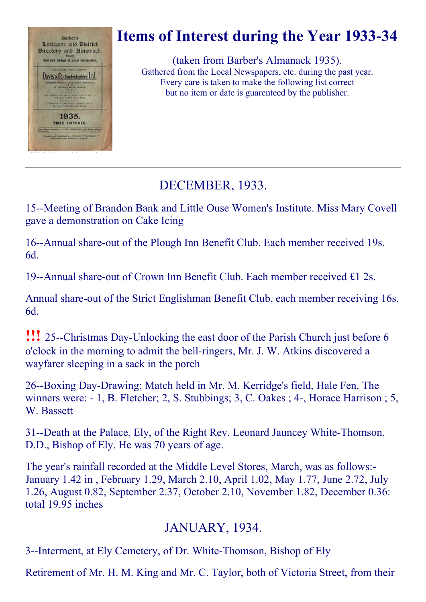

# Items of Interest during the Year 1933-34

(taken from Barber's Almanack 1935). Gathered from the Local Newspapers, etc. during the past year. Every care is taken to make the following list correct but no item or date is guarenteed by the publisher.

# DECEMBER, 1933.

15--Meeting of Brandon Bank and Little Ouse Women's Institute. Miss Mary Covell gave a demonstration on Cake Icing

16--Annual share-out of the Plough Inn Benefit Club. Each member received 19s. 6d.

19--Annual share-out of Crown Inn Benefit Club. Each member received  $£1$  2s.

Annual share-out of the Strict Englishman Benefit Club, each member receiving 16s. 6d.

**!!!** 25--Christmas Day-Unlocking the east door of the Parish Church just before 6 o'clock in the morning to admit the bell-ringers, Mr. J. W. Atkins discovered a wayfarer sleeping in a sack in the porch

26--Boxing Day-Drawing; Match held in Mr. M. Kerridge's field, Hale Fen. The winners were:  $-1$ , B. Fletcher; 2, S. Stubbings; 3, C. Oakes; 4-, Horace Harrison; 5, W. Bassett

31--Death at the Palace, Ely, of the Right Rev. Leonard Jauncey White-Thomson, D.D., Bishop of Ely. He was 70 years of age.

The year's rainfall recorded at the Middle Level Stores, March, was as follows: January 1.42 in , February 1.29, March 2.10, April 1.02, May 1.77, June 2.72, July 1.26, August 0.82, September 2.37, October 2.10, November 1.82, December 0.36: total 19.95 inches

## JANUARY, 1934.

3--Interment, at Ely Cemetery, of Dr. White-Thomson, Bishop of Ely

Retirement of Mr. H. M. King and Mr. C. Taylor, both of Victoria Street, from their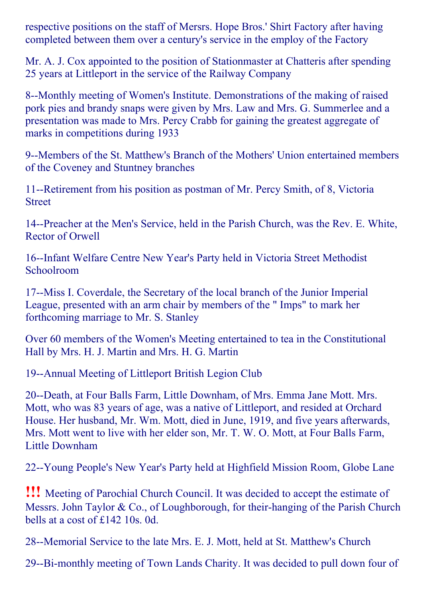respective positions on the staff of Mersrs. Hope Bros.' Shirt Factory after having completed between them over a century's service in the employ of the Factory

Mr. A. J. Cox appointed to the position of Stationmaster at Chatteris after spending 25 years at Littleport in the service of the Railway Company

8--Monthly meeting of Women's Institute. Demonstrations of the making of raised pork pies and brandy snaps were given by Mrs. Law and Mrs. G. Summerlee and a presentation was made to Mrs. Percy Crabb for gaining the greatest aggregate of marks in competitions during 1933

9--Members of the St. Matthew's Branch of the Mothers' Union entertained members of the Coveney and Stuntney branches

11--Retirement from his position as postman of Mr. Percy Smith, of 8, Victoria Street

14--Preacher at the Men's Service, held in the Parish Church, was the Rev. E. White, Rector of Orwell

16--Infant Welfare Centre New Year's Party held in Victoria Street Methodist Schoolroom

17--Miss I. Coverdale, the Secretary of the local branch of the Junior Imperial League, presented with an arm chair by members of the " Imps" to mark her forthcoming marriage to Mr. S. Stanley

Over 60 members of the Women's Meeting entertained to tea in the Constitutional Hall by Mrs. H. J. Martin and Mrs. H. G. Martin

19--Annual Meeting of Littleport British Legion Club

20--Death, at Four Balls Farm, Little Downham, of Mrs. Emma Jane Mott. Mrs. Mott, who was 83 years of age, was a native of Littleport, and resided at Orchard House. Her husband, Mr. Wm. Mott, died in June, 1919, and five years afterwards, Mrs. Mott went to live with her elder son, Mr. T. W. O. Mott, at Four Balls Farm, Little Downham

22-Young People's New Year's Party held at Highfield Mission Room, Globe Lane

!!! Meeting of Parochial Church Council. It was decided to accept the estimate of Messrs. John Taylor & Co., of Loughborough, for their-hanging of the Parish Church bells at a cost of £142 10s. 0d.

28--Memorial Service to the late Mrs. E. J. Mott, held at St. Matthew's Church

29--Bi-monthly meeting of Town Lands Charity. It was decided to pull down four of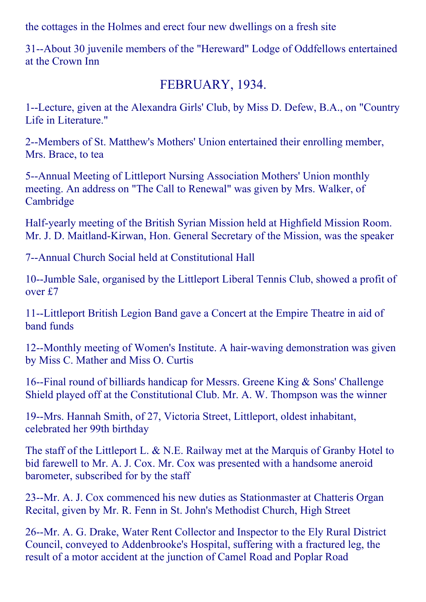the cottages in the Holmes and erect four new dwellings on a fresh site

31--About 30 juvenile members of the "Hereward" Lodge of Oddfellows entertained at the Crown Inn

#### FEBRUARY, 1934.

1--Lecture, given at the Alexandra Girls' Club, by Miss D. Defew, B.A., on "Country" Life in Literature."

2--Members of St. Matthew's Mothers' Union entertained their enrolling member, Mrs. Brace, to tea

5--Annual Meeting of Littleport Nursing Association Mothers' Union monthly meeting. An address on "The Call to Renewal" was given by Mrs. Walker, of Cambridge

Half-yearly meeting of the British Syrian Mission held at Highfield Mission Room. Mr. J. D. Maitland-Kirwan, Hon. General Secretary of the Mission, was the speaker

7--Annual Church Social held at Constitutional Hall

10--Jumble Sale, organised by the Littleport Liberal Tennis Club, showed a profit of over £7

11--Littleport British Legion Band gave a Concert at the Empire Theatre in aid of band funds

12--Monthly meeting of Women's Institute. A hair-waving demonstration was given by Miss C. Mather and Miss O. Curtis

16-Final round of billiards handicap for Messrs. Greene King  $&$  Sons' Challenge Shield played off at the Constitutional Club. Mr. A. W. Thompson was the winner

19--Mrs. Hannah Smith, of 27, Victoria Street, Littleport, oldest inhabitant, celebrated her 99th birthday

The staff of the Littleport L. & N.E. Railway met at the Marquis of Granby Hotel to bid farewell to Mr. A. J. Cox. Mr. Cox was presented with a handsome aneroid barometer, subscribed for by the staff

23--Mr. A. J. Cox commenced his new duties as Stationmaster at Chatteris Organ Recital, given by Mr. R. Fenn in St. John's Methodist Church, High Street

26--Mr. A. G. Drake, Water Rent Collector and Inspector to the Ely Rural District Council, conveyed to Addenbrooke's Hospital, suffering with a fractured leg, the result of a motor accident at the junction of Camel Road and Poplar Road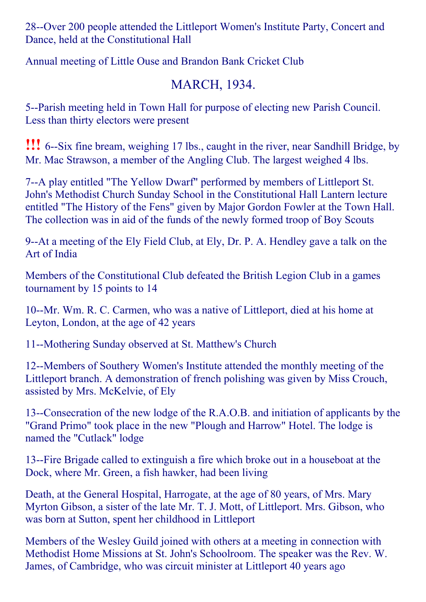28--Over 200 people attended the Littleport Women's Institute Party, Concert and Dance, held at the Constitutional Hall

Annual meeting of Little Ouse and Brandon Bank Cricket Club

# MARCH, 1934.

5--Parish meeting held in Town Hall for purpose of electing new Parish Council. Less than thirty electors were present

**!!!** 6--Six fine bream, weighing 17 lbs., caught in the river, near Sandhill Bridge, by Mr. Mac Strawson, a member of the Angling Club. The largest weighed 4 lbs.

7--A play entitled "The Yellow Dwarf" performed by members of Littleport St. John's Methodist Church Sunday School in the Constitutional Hall Lantern lecture entitled "The History of the Fens" given by Major Gordon Fowler at the Town Hall. The collection was in aid of the funds of the newly formed troop of Boy Scouts

9--At a meeting of the Ely Field Club, at Ely, Dr. P. A. Hendley gave a talk on the Art of India

Members of the Constitutional Club defeated the British Legion Club in a games tournament by 15 points to 14

10--Mr. Wm. R. C. Carmen, who was a native of Littleport, died at his home at Leyton, London, at the age of 42 years

11--Mothering Sunday observed at St. Matthew's Church

12--Members of Southery Women's Institute attended the monthly meeting of the Littleport branch. A demonstration of french polishing was given by Miss Crouch, assisted by Mrs. McKelvie, of Ely

13--Consecration of the new lodge of the R.A.O.B. and initiation of applicants by the "Grand Primo" took place in the new "Plough and Harrow" Hotel. The lodge is named the "Cutlack" lodge

13-Fire Brigade called to extinguish a fire which broke out in a houseboat at the Dock, where Mr. Green, a fish hawker, had been living

Death, at the General Hospital, Harrogate, at the age of 80 years, of Mrs. Mary Myrton Gibson, a sister of the late Mr. T. J. Mott, of Littleport. Mrs. Gibson, who was born at Sutton, spent her childhood in Littleport

Members of the Wesley Guild joined with others at a meeting in connection with Methodist Home Missions at St. John's Schoolroom. The speaker was the Rev. W. James, of Cambridge, who was circuit minister at Littleport 40 years ago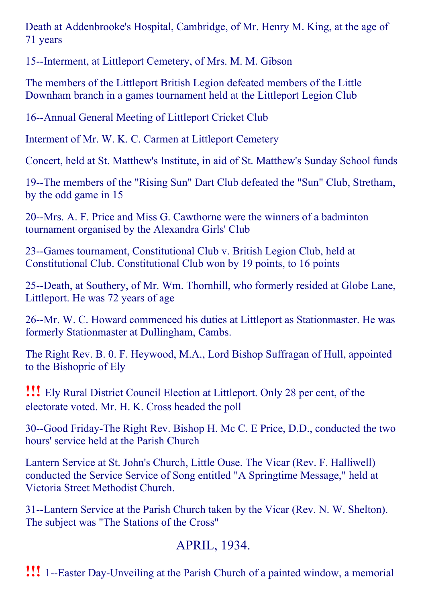Death at Addenbrooke's Hospital, Cambridge, of Mr. Henry M. King, at the age of 71 years

15--Interment, at Littleport Cemetery, of Mrs. M. M. Gibson

The members of the Littleport British Legion defeated members of the Little Downham branch in a games tournament held at the Littleport Legion Club

16--Annual General Meeting of Littleport Cricket Club

Interment of Mr. W. K. C. Carmen at Littleport Cemetery

Concert, held at St. Matthew's Institute, in aid of St. Matthew's Sunday School funds

19--The members of the "Rising Sun" Dart Club defeated the "Sun" Club, Stretham, by the odd game in 15

20--Mrs. A. F. Price and Miss G. Cawthorne were the winners of a badminton tournament organised by the Alexandra Girls' Club

23--Games tournament, Constitutional Club v. British Legion Club, held at Constitutional Club. Constitutional Club won by 19 points, to 16 points

25--Death, at Southery, of Mr. Wm. Thornhill, who formerly resided at Globe Lane, Littleport. He was 72 years of age

26--Mr. W. C. Howard commenced his duties at Littleport as Stationmaster. He was formerly Stationmaster at Dullingham, Cambs.

The Right Rev. B. 0. F. Heywood, M.A., Lord Bishop Suffragan of Hull, appointed to the Bishopric of Ely

!!! Ely Rural District Council Election at Littleport. Only <sup>28</sup> per cent, of the electorate voted. Mr. H. K. Cross headed the poll

30--Good Friday-The Right Rev. Bishop H. Mc C. E Price, D.D., conducted the two hours' service held at the Parish Church

Lantern Service at St. John's Church, Little Ouse. The Vicar (Rev. F. Halliwell) conducted the Service Service of Song entitled "A Springtime Message," held at Victoria Street Methodist Church.

31--Lantern Service at the Parish Church taken by the Vicar (Rev. N. W. Shelton). The subject was "The Stations of the Cross"

# APRIL, 1934.

**!!!** 1--Easter Day-Unveiling at the Parish Church of a painted window, a memorial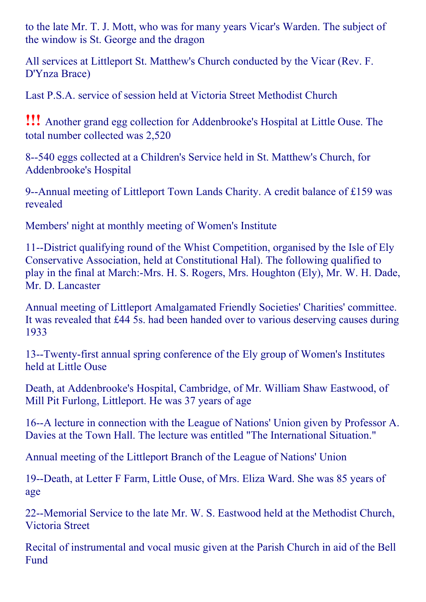to the late Mr. T. J. Mott, who was for many years Vicar's Warden. The subject of the window is St. George and the dragon

All services at Littleport St. Matthew's Church conducted by the Vicar (Rev. F. D'Ynza Brace)

Last P.S.A. service of session held at Victoria Street Methodist Church

!!! Another grand egg collection for Addenbrooke's Hospital at Little Ouse. The total number collected was 2,520

8--540 eggs collected at a Children's Service held in St. Matthew's Church, for Addenbrooke's Hospital

9--Annual meeting of Littleport Town Lands Charity. A credit balance of £159 was revealed

Members' night at monthly meeting of Women's Institute

11--District qualifying round of the Whist Competition, organised by the Isle of Ely Conservative Association, held at Constitutional Hal). The following qualified to play in the final at March:-Mrs. H. S. Rogers, Mrs. Houghton (Ely), Mr. W. H. Dade, Mr. D. Lancaster

Annual meeting of Littleport Amalgamated Friendly Societies' Charities' committee. It was revealed that £44 5s. had been handed over to various deserving causes during 1933

13--Twenty-first annual spring conference of the Ely group of Women's Institutes held at Little Ouse

Death, at Addenbrooke's Hospital, Cambridge, of Mr. William Shaw Eastwood, of Mill Pit Furlong, Littleport. He was 37 years of age

16--A lecture in connection with the League of Nations' Union given by Professor A. Davies at the Town Hall. The lecture was entitled "The International Situation."

Annual meeting of the Littleport Branch of the League of Nations' Union

19--Death, at Letter F Farm, Little Ouse, of Mrs. Eliza Ward. She was 85 years of age

22--Memorial Service to the late Mr. W. S. Eastwood held at the Methodist Church, Victoria Street

Recital of instrumental and vocal music given at the Parish Church in aid of the Bell Fund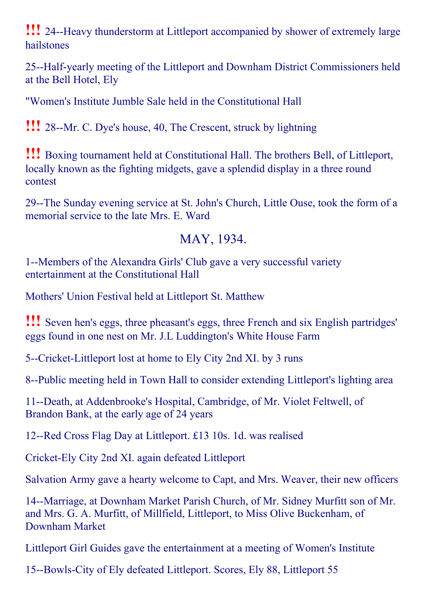**!!!** 24--Heavy thunderstorm at Littleport accompanied by shower of extremely large hailstones

25--Half-yearly meeting of the Littleport and Downham District Commissioners held at the Bell Hotel, Ely

"Women's Institute Jumble Sale held in the Constitutional Hall

**!!!** 28--Mr. C. Dye's house, 40, The Crescent, struck by lightning

!!! Boxing tournament held at Constitutional Hall. The brothers Bell, of Littleport, locally known as the fighting midgets, gave a splendid display in a three round contest

29--The Sunday evening service at St. John's Church, Little Ouse, took the form of a memorial service to the late Mrs. E. Ward

#### MAY, 1934.

1--Members of the Alexandra Girls' Club gave a very successful variety entertainment at the Constitutional Hall

Mothers' Union Festival held at Littleport St. Matthew

!!! Seven hen's eggs, three pheasant's eggs, three French and six English partridges' eggs found in one nest on Mr. J.L Luddington's White House Farm

5--Cricket-Littleport lost at home to Ely City 2nd XI. by 3 runs

8--Public meeting held in Town Hall to consider extending Littleport's lighting area

11--Death, at Addenbrooke's Hospital, Cambridge, of Mr. Violet Feltwell, of Brandon Bank, at the early age of 24 years

12--Red Cross Flag Day at Littleport. £13 10s. 1d. was realised

Cricket-Ely City 2nd XI. again defeated Littleport

Salvation Army gave a hearty welcome to Capt, and Mrs. Weaver, their new officers

14--Marriage, at Downham Market Parish Church, of Mr. Sidney Murfitt son of Mr. and Mrs. G. A. Murfitt, of Millfield, Littleport, to Miss Olive Buckenham, of Downham Market

Littleport Girl Guides gave the entertainment at a meeting of Women's Institute

15--Bowls-City of Ely defeated Littleport. Scores, Ely 88, Littleport 55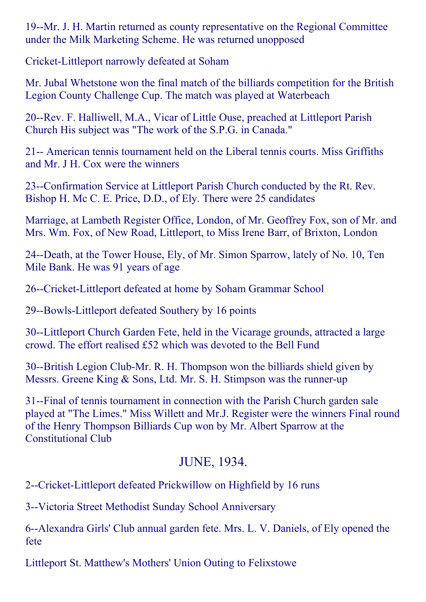19--Mr. J. H. Martin returned as county representative on the Regional Committee under the Milk Marketing Scheme. He was returned unopposed

Cricket-Littleport narrowly defeated at Soham

Mr. Jubal Whetstone won the final match of the billiards competition for the British Legion County Challenge Cup. The match was played at Waterbeach

20--Rev. F. Halliwell, M.A., Vicar of Little Ouse, preached at Littleport Parish Church His subject was "The work of the S.P.G. in Canada."

21 American tennis tournament held on the Liberal tennis courts. Miss Griffiths and Mr. J H. Cox were the winners

23--Confirmation Service at Littleport Parish Church conducted by the Rt. Rev. Bishop H. Mc C. E. Price, D.D., of Ely. There were 25 candidates

Marriage, at Lambeth Register Office, London, of Mr. Geoffrey Fox, son of Mr. and Mrs. Wm. Fox, of New Road, Littleport, to Miss Irene Barr, of Brixton, London

24--Death, at the Tower House, Ely, of Mr. Simon Sparrow, lately of No. 10, Ten Mile Bank. He was 91 years of age

26--Cricket-Littleport defeated at home by Soham Grammar School

29--Bowls-Littleport defeated Southery by 16 points

30--Littleport Church Garden Fete, held in the Vicarage grounds, attracted a large crowd. The effort realised £52 which was devoted to the Bell Fund

30--British Legion Club-Mr. R. H. Thompson won the billiards shield given by Messrs. Greene King  $&$  Sons, Ltd. Mr. S. H. Stimpson was the runner-up

31-Final of tennis tournament in connection with the Parish Church garden sale played at "The Limes." Miss Willett and Mr.J. Register were the winners Final round of the Henry Thompson Billiards Cup won by Mr. Albert Sparrow at the Constitutional Club

#### JUNE, 1934.

2--Cricket-Littleport defeated Prickwillow on Highfield by 16 runs

3--Victoria Street Methodist Sunday School Anniversary

6--Alexandra Girls' Club annual garden fete. Mrs. L. V. Daniels, of Ely opened the fete

Littleport St. Matthew's Mothers' Union Outing to Felixstowe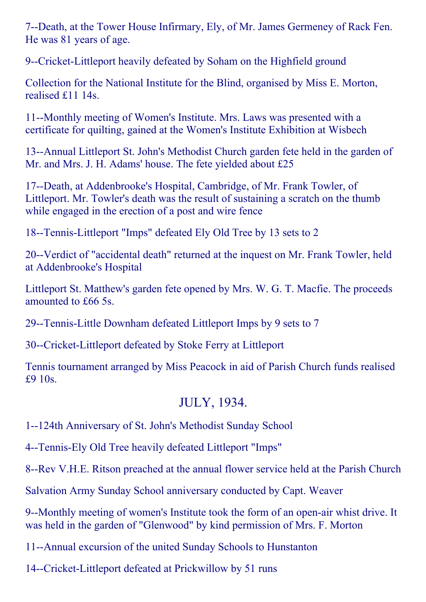7--Death, at the Tower House Infirmary, Ely, of Mr. James Germeney of Rack Fen. He was 81 years of age.

9--Cricket-Littleport heavily defeated by Soham on the Highfield ground

Collection for the National Institute for the Blind, organised by Miss E. Morton, realised £11 14s.

11--Monthly meeting of Women's Institute. Mrs. Laws was presented with a certificate for quilting, gained at the Women's Institute Exhibition at Wisbech

13--Annual Littleport St. John's Methodist Church garden fete held in the garden of Mr. and Mrs. J. H. Adams' house. The fete yielded about £25

17--Death, at Addenbrooke's Hospital, Cambridge, of Mr. Frank Towler, of Littleport. Mr. Towler's death was the result of sustaining a scratch on the thumb while engaged in the erection of a post and wire fence

18--Tennis-Littleport "Imps" defeated Ely Old Tree by 13 sets to 2

20--Verdict of "accidental death" returned at the inquest on Mr. Frank Towler, held at Addenbrooke's Hospital

Littleport St. Matthew's garden fete opened by Mrs. W. G. T. Macfie. The proceeds amounted to £66 5s.

29--Tennis-Little Downham defeated Littleport Imps by 9 sets to 7

30--Cricket-Littleport defeated by Stoke Ferry at Littleport

Tennis tournament arranged by Miss Peacock in aid of Parish Church funds realised £9 10s.

#### JULY, 1934.

1124th Anniversary of St. John's Methodist Sunday School

4--Tennis-Ely Old Tree heavily defeated Littleport "Imps"

8--Rev V.H.E. Ritson preached at the annual flower service held at the Parish Church

Salvation Army Sunday School anniversary conducted by Capt. Weaver

9--Monthly meeting of women's Institute took the form of an open-air whist drive. It was held in the garden of "Glenwood" by kind permission of Mrs. F. Morton

11--Annual excursion of the united Sunday Schools to Hunstanton

14--Cricket-Littleport defeated at Prickwillow by 51 runs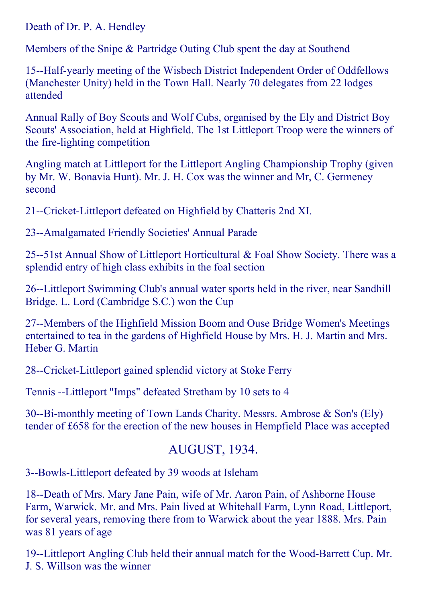Death of Dr. P. A. Hendley

Members of the Snipe & Partridge Outing Club spent the day at Southend

15--Half-yearly meeting of the Wisbech District Independent Order of Oddfellows (Manchester Unity) held in the Town Hall. Nearly 70 delegates from 22 lodges attended

Annual Rally of Boy Scouts and Wolf Cubs, organised by the Ely and District Boy Scouts' Association, held at Highfield. The 1st Littleport Troop were the winners of the fire-lighting competition

Angling match at Littleport for the Littleport Angling Championship Trophy (given by Mr. W. Bonavia Hunt). Mr. J. H. Cox was the winner and Mr, C. Germeney second

21--Cricket-Littleport defeated on Highfield by Chatteris 2nd XI.

23--Amalgamated Friendly Societies' Annual Parade

25--51st Annual Show of Littleport Horticultural  $&$  Foal Show Society. There was a splendid entry of high class exhibits in the foal section

26--Littleport Swimming Club's annual water sports held in the river, near Sandhill Bridge. L. Lord (Cambridge S.C.) won the Cup

27--Members of the Highfield Mission Boom and Ouse Bridge Women's Meetings entertained to tea in the gardens of Highfield House by Mrs. H. J. Martin and Mrs. Heber G. Martin

28--Cricket-Littleport gained splendid victory at Stoke Ferry

Tennis --Littleport "Imps" defeated Stretham by 10 sets to 4

30--Bi-monthly meeting of Town Lands Charity. Messrs. Ambrose & Son's (Ely) tender of £658 for the erection of the new houses in Hempfield Place was accepted

# AUGUST, 1934.

3--Bowls-Littleport defeated by 39 woods at Isleham

18--Death of Mrs. Mary Jane Pain, wife of Mr. Aaron Pain, of Ashborne House Farm, Warwick. Mr. and Mrs. Pain lived at Whitehall Farm, Lynn Road, Littleport, for several years, removing there from to Warwick about the year 1888. Mrs. Pain was 81 years of age

19--Littleport Angling Club held their annual match for the Wood-Barrett Cup. Mr. J. S. Willson was the winner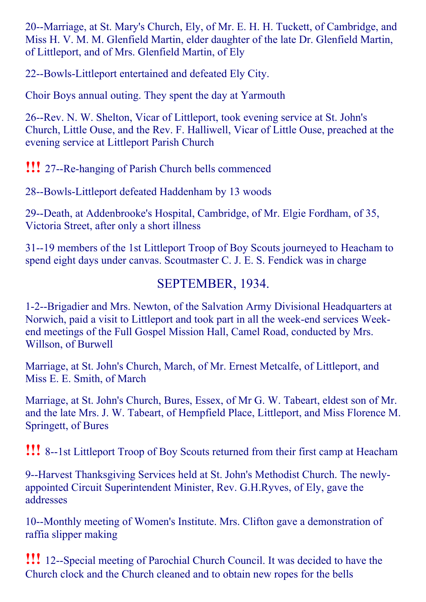20--Marriage, at St. Mary's Church, Ely, of Mr. E. H. H. Tuckett, of Cambridge, and Miss H. V. M. M. Glenfield Martin, elder daughter of the late Dr. Glenfield Martin, of Littleport, and of Mrs. Glenfield Martin, of Ely

22--Bowls-Littleport entertained and defeated Ely City.

Choir Boys annual outing. They spent the day at Yarmouth

26--Rev. N. W. Shelton, Vicar of Littleport, took evening service at St. John's Church, Little Ouse, and the Rev. F. Halliwell, Vicar of Little Ouse, preached at the evening service at Littleport Parish Church

**!!!** 27--Re-hanging of Parish Church bells commenced

28--Bowls-Littleport defeated Haddenham by 13 woods

29--Death, at Addenbrooke's Hospital, Cambridge, of Mr. Elgie Fordham, of 35, Victoria Street, after only a short illness

31--19 members of the 1st Littleport Troop of Boy Scouts journeyed to Heacham to spend eight days under canvas. Scoutmaster C. J. E. S. Fendick was in charge

## SEPTEMBER, 1934.

1-2--Brigadier and Mrs. Newton, of the Salvation Army Divisional Headquarters at Norwich, paid a visit to Littleport and took part in all the week-end services Weekend meetings of the Full Gospel Mission Hall, Camel Road, conducted by Mrs. Willson, of Burwell

Marriage, at St. John's Church, March, of Mr. Ernest Metcalfe, of Littleport, and Miss E. E. Smith, of March

Marriage, at St. John's Church, Bures, Essex, of Mr G. W. Tabeart, eldest son of Mr. and the late Mrs. J. W. Tabeart, of Hempfield Place, Littleport, and Miss Florence M. Springett, of Bures

**!!!** 8--1st Littleport Troop of Boy Scouts returned from their first camp at Heacham

9--Harvest Thanksgiving Services held at St. John's Methodist Church. The newlyappointed Circuit Superintendent Minister, Rev. G.H.Ryves, of Ely, gave the addresses

10--Monthly meeting of Women's Institute. Mrs. Clifton gave a demonstration of raffia slipper making

**!!!** 12--Special meeting of Parochial Church Council. It was decided to have the Church clock and the Church cleaned and to obtain new ropes for the bells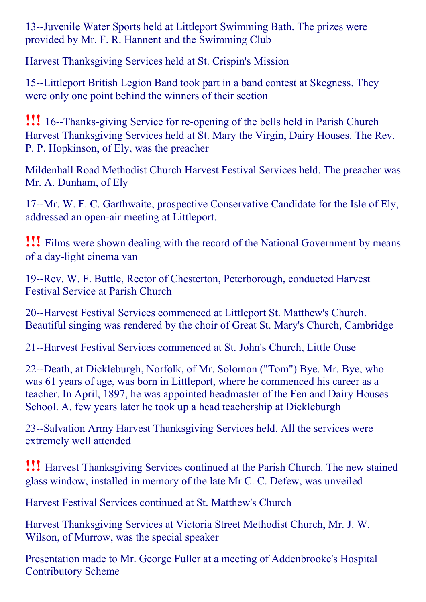13--Juvenile Water Sports held at Littleport Swimming Bath. The prizes were provided by Mr. F. R. Hannent and the Swimming Club

Harvest Thanksgiving Services held at St. Crispin's Mission

15--Littleport British Legion Band took part in a band contest at Skegness. They were only one point behind the winners of their section

**!!!** 16--Thanks-giving Service for re-opening of the bells held in Parish Church Harvest Thanksgiving Services held at St. Mary the Virgin, Dairy Houses. The Rev. P. P. Hopkinson, of Ely, was the preacher

Mildenhall Road Methodist Church Harvest Festival Services held. The preacher was Mr. A. Dunham, of Ely

17--Mr. W. F. C. Garthwaite, prospective Conservative Candidate for the Isle of Ely, addressed an open-air meeting at Littleport.

!!! Films were shown dealing with the record of the National Government by means of a day-light cinema van

19--Rev. W. F. Buttle, Rector of Chesterton, Peterborough, conducted Harvest Festival Service at Parish Church

20--Harvest Festival Services commenced at Littleport St. Matthew's Church. Beautiful singing was rendered by the choir of Great St. Mary's Church, Cambridge

21--Harvest Festival Services commenced at St. John's Church, Little Ouse

22--Death, at Dickleburgh, Norfolk, of Mr. Solomon ("Tom") Bye. Mr. Bye, who was 61 years of age, was born in Littleport, where he commenced his career as a teacher. In April, 1897, he was appointed headmaster of the Fen and Dairy Houses School. A. few years later he took up a head teachership at Dickleburgh

23--Salvation Army Harvest Thanksgiving Services held. All the services were extremely well attended

!!! Harvest Thanksgiving Services continued at the Parish Church. The new stained glass window, installed in memory of the late Mr C. C. Defew, was unveiled

Harvest Festival Services continued at St. Matthew's Church

Harvest Thanksgiving Services at Victoria Street Methodist Church, Mr. J. W. Wilson, of Murrow, was the special speaker

Presentation made to Mr. George Fuller at a meeting of Addenbrooke's Hospital Contributory Scheme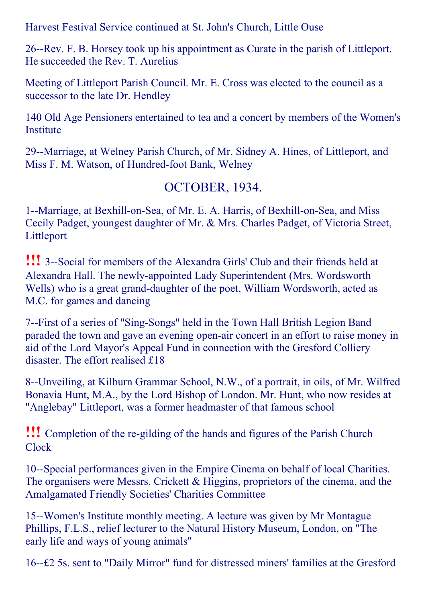Harvest Festival Service continued at St. John's Church, Little Ouse

26--Rev. F. B. Horsey took up his appointment as Curate in the parish of Littleport. He succeeded the Rev. T. Aurelius

Meeting of Littleport Parish Council. Mr. E. Cross was elected to the council as a successor to the late Dr. Hendley

140 Old Age Pensioners entertained to tea and a concert by members of the Women's Institute

29--Marriage, at Welney Parish Church, of Mr. Sidney A. Hines, of Littleport, and Miss F. M. Watson, of Hundred-foot Bank, Welney

#### OCTOBER, 1934.

1--Marriage, at Bexhill-on-Sea, of Mr. E. A. Harris, of Bexhill-on-Sea, and Miss Cecily Padget, youngest daughter of Mr. & Mrs. Charles Padget, of Victoria Street, Littleport

**!!!** 3--Social for members of the Alexandra Girls' Club and their friends held at Alexandra Hall. The newly-appointed Lady Superintendent (Mrs. Wordsworth Wells) who is a great grand-daughter of the poet, William Wordsworth, acted as M.C. for games and dancing

7--First of a series of "Sing-Songs" held in the Town Hall British Legion Band paraded the town and gave an evening open-air concert in an effort to raise money in aid of the Lord Mayor's Appeal Fund in connection with the Gresford Colliery disaster. The effort realised £18

8--Unveiling, at Kilburn Grammar School, N.W., of a portrait, in oils, of Mr. Wilfred Bonavia Hunt, M.A., by the Lord Bishop of London. Mr. Hunt, who now resides at "Anglebay" Littleport, was a former headmaster of that famous school

**!!!** Completion of the re-gilding of the hands and figures of the Parish Church Clock

10--Special performances given in the Empire Cinema on behalf of local Charities. The organisers were Messrs. Crickett & Higgins, proprietors of the cinema, and the Amalgamated Friendly Societies' Charities Committee

15--Women's Institute monthly meeting. A lecture was given by Mr Montague Phillips, F.L.S., relief lecturer to the Natural History Museum, London, on "The early life and ways of young animals"

16--£2 5s. sent to "Daily Mirror" fund for distressed miners' families at the Gresford